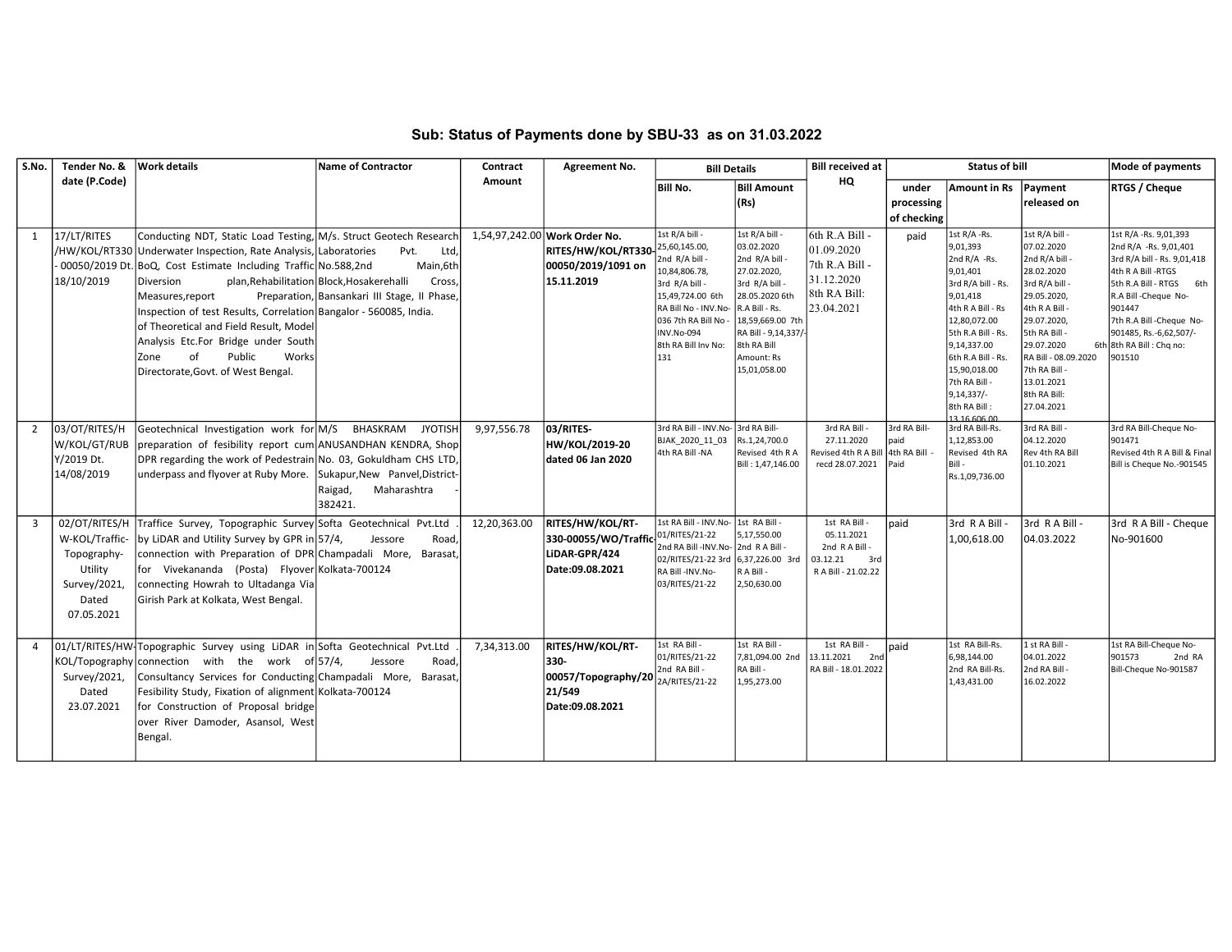| S.No. | Tender No. &                                                                    | <b>Work details</b>                                                                                                                                                                                                                                                                                                                                                                                                                                                    | <b>Name of Contractor</b>                                                                                                         | Contract     | Agreement No.                                                                                                 | <b>Bill Details</b>                                                                                                                                                                    |                                                                                                                                                                                                           | <b>Bill received at</b>                                                                    | <b>Status of bill</b>                       |                                                                                                                                                                                                                                                         |                                                                                                                                                                                                                                                         | Mode of payments                                                                                                                                                                                                                                       |
|-------|---------------------------------------------------------------------------------|------------------------------------------------------------------------------------------------------------------------------------------------------------------------------------------------------------------------------------------------------------------------------------------------------------------------------------------------------------------------------------------------------------------------------------------------------------------------|-----------------------------------------------------------------------------------------------------------------------------------|--------------|---------------------------------------------------------------------------------------------------------------|----------------------------------------------------------------------------------------------------------------------------------------------------------------------------------------|-----------------------------------------------------------------------------------------------------------------------------------------------------------------------------------------------------------|--------------------------------------------------------------------------------------------|---------------------------------------------|---------------------------------------------------------------------------------------------------------------------------------------------------------------------------------------------------------------------------------------------------------|---------------------------------------------------------------------------------------------------------------------------------------------------------------------------------------------------------------------------------------------------------|--------------------------------------------------------------------------------------------------------------------------------------------------------------------------------------------------------------------------------------------------------|
|       | date (P.Code)                                                                   |                                                                                                                                                                                                                                                                                                                                                                                                                                                                        |                                                                                                                                   | Amount       |                                                                                                               | Bill No.                                                                                                                                                                               | <b>Bill Amount</b>                                                                                                                                                                                        | HQ                                                                                         | under                                       | Amount in Rs                                                                                                                                                                                                                                            | Payment                                                                                                                                                                                                                                                 | <b>RTGS / Cheque</b>                                                                                                                                                                                                                                   |
|       |                                                                                 |                                                                                                                                                                                                                                                                                                                                                                                                                                                                        |                                                                                                                                   |              |                                                                                                               |                                                                                                                                                                                        | (Rs)                                                                                                                                                                                                      |                                                                                            | processing                                  |                                                                                                                                                                                                                                                         | released on                                                                                                                                                                                                                                             |                                                                                                                                                                                                                                                        |
|       |                                                                                 |                                                                                                                                                                                                                                                                                                                                                                                                                                                                        |                                                                                                                                   |              |                                                                                                               |                                                                                                                                                                                        |                                                                                                                                                                                                           |                                                                                            | of checking                                 |                                                                                                                                                                                                                                                         |                                                                                                                                                                                                                                                         |                                                                                                                                                                                                                                                        |
|       | 17/LT/RITES<br>18/10/2019                                                       | Conducting NDT, Static Load Testing, M/s. Struct Geotech Research<br>/HW/KOL/RT330 Underwater Inspection, Rate Analysis, Laboratories<br>-00050/2019 Dt. BoQ, Cost Estimate Including Traffic No.588,2nd<br>Diversion<br>Measures, report<br>Inspection of test Results, Correlation Bangalor - 560085, India.<br>of Theoretical and Field Result, Model<br>Analysis Etc.For Bridge under South<br>of<br>Public<br>Zone<br>Works<br>Directorate, Govt. of West Bengal. | Pvt.<br>Ltd,<br>Main,6th<br>plan, Rehabilitation   Block, Hosakerehalli<br>Cross.<br>Preparation, Bansankari III Stage, II Phase, |              | 1,54,97,242.00 Work Order No.<br>RITES/HW/KOL/RT330-25,60,145.00,<br>00050/2019/1091 on<br>15.11.2019         | 1st R/A bill -<br>2nd R/A bill -<br>10,84,806.78,<br>3rd R/A bill<br>15,49,724.00 6th<br>RA Bill No - INV.No-<br>036 7th RA Bill No<br><b>INV.No-094</b><br>8th RA Bill Inv No:<br>131 | 1st R/A bill -<br>03.02.2020<br>2nd R/A bill<br>27.02.2020,<br>3rd R/A bill -<br>28.05.2020 6th<br>R.A Bill - Rs.<br>18,59,669.00 7th<br>RA Bill - 9,14,337/<br>8th RA Bill<br>Amount: Rs<br>15,01,058.00 | 6th R.A Bill -<br>01.09.2020<br>7th R.A Bill -<br>31.12.2020<br>8th RA Bill:<br>23.04.2021 | paid                                        | 1st R/A -Rs.<br>9,01,393<br>2nd R/A -Rs.<br>9,01,401<br>3rd R/A bill - Rs.<br>9,01,418<br>4th R A Bill - Rs<br>12,80,072.00<br>5th R.A Bill - Rs.<br>9,14,337.00<br>6th R.A Bill - Rs.<br>15,90,018.00<br>7th RA Bill -<br>$9,14,337/-$<br>8th RA Bill: | 1st R/A bill -<br>07.02.2020<br>2nd R/A bill<br>28.02.2020<br>3rd R/A bill -<br>29.05.2020,<br>4th R A Bill -<br>29.07.2020,<br>5th RA Bill -<br>29.07.2020<br>6th<br>RA Bill - 08.09.2020<br>7th RA Bill -<br>13.01.2021<br>8th RA Bill:<br>27.04.2021 | 1st R/A -Rs. 9,01,393<br>2nd R/A -Rs. 9,01,401<br>3rd R/A bill - Rs. 9,01,418<br>4th R A Bill-RTGS<br>5th R.A Bill - RTGS 6th<br>R.A Bill -Cheque No-<br>901447<br>7th R.A Bill-Cheque No-<br>901485, Rs.-6,62,507/-<br>8th RA Bill: Chq no:<br>901510 |
|       | 03/OT/RITES/H<br>Y/2019 Dt.<br>14/08/2019                                       | Geotechnical Investigation work for M/S<br>W/KOL/GT/RUB preparation of fesibility report cum ANUSANDHAN KENDRA, Shop<br>DPR regarding the work of Pedestrain No. 03, Gokuldham CHS LTD,<br>underpass and flyover at Ruby More. Sukapur, New Panvel, District-                                                                                                                                                                                                          | BHASKRAM<br><b>JYOTISH</b><br>Raigad,<br>Maharashtra<br>382421.                                                                   | 9.97.556.78  | 03/RITES-<br>HW/KOL/2019-20<br>dated 06 Jan 2020                                                              | 3rd RA Bill - INV.No- 3rd RA Bill-<br>BJAK 2020 11 03<br>4th RA Bill -NA                                                                                                               | Rs.1,24,700.0<br>Revised 4th R A<br>Bill: 1,47,146.00                                                                                                                                                     | 3rd RA Bill -<br>27.11.2020<br>Revised 4th R A Bill<br>recd 28.07.2021                     | 3rd RA Bill-<br>paid<br>4th RA Bill<br>Paid | 13 16 606 00<br>3rd RA Bill-Rs.<br>1,12,853.00<br>Revised 4th RA<br>Bill-<br>Rs.1,09,736.00                                                                                                                                                             | 3rd RA Bill -<br>04.12.2020<br>Rev 4th RA Bill<br>01.10.2021                                                                                                                                                                                            | 3rd RA Bill-Cheque No-<br>901471<br>Revised 4th R A Bill & Final<br>Bill is Cheque No.-901545                                                                                                                                                          |
|       | W-KOL/Traffic-<br>Topography-<br>Utility<br>Survey/2021,<br>Dated<br>07.05.2021 | 02/OT/RITES/H Traffice Survey, Topographic Survey Softa Geotechnical Pvt.Ltd<br>by LiDAR and Utility Survey by GPR in 57/4,<br>connection with Preparation of DPR Champadali More,<br>for Vivekananda (Posta) Flyover Kolkata-700124<br>connecting Howrah to Ultadanga Via<br>Girish Park at Kolkata, West Bengal.                                                                                                                                                     | Jessore<br>Road,<br>Barasat                                                                                                       | 12,20,363.00 | <b>RITES/HW/KOL/RT-</b><br>330-00055/WO/Traffic <sup>01/RITES/21-22</sup><br>LiDAR-GPR/424<br>Date:09.08.2021 | 1st RA Bill - INV.No-<br>2nd RA Bill -INV.No- 2nd RA Bill -<br>02/RITES/21-22 3rd 6,37,226.00 3rd<br>RA Bill-INV.No-<br>03/RITES/21-22                                                 | 1st RA Bill<br>5,17,550.00<br>R A Bill<br>2,50,630.00                                                                                                                                                     | 1st RA Bill<br>05.11.2021<br>2nd RABill<br>03.12.21<br>3rd<br>R A Bill - 21.02.22          | paid                                        | 3rd RABill<br>1,00,618.00                                                                                                                                                                                                                               | 3rd R A Bill -<br>04.03.2022                                                                                                                                                                                                                            | 3rd R A Bill - Cheque<br>No-901600                                                                                                                                                                                                                     |
|       | Survey/2021,<br>Dated<br>23.07.2021                                             | 01/LT/RITES/HW-Topographic Survey using LiDAR in Softa Geotechnical Pvt.Ltd<br>KOL/Topography connection with the work of 57/4,<br>Consultancy Services for Conducting Champadali More, Barasat,<br>Fesibility Study, Fixation of alignment Kolkata-700124<br>for Construction of Proposal bridge<br>over River Damoder, Asansol, West<br>Bengal.                                                                                                                      | Road,<br>Jessore                                                                                                                  | 7,34,313.00  | <b>RITES/HW/KOL/RT-</b><br>330-<br>00057/Topography/20 2A/RITES/21-22<br>21/549<br>Date:09.08.2021            | 1st RA Bill -<br>01/RITES/21-22<br>2nd RA Bill -                                                                                                                                       | 1st RA Bill<br>7,81,094.00 2nd<br>RA Bill<br>1,95,273.00                                                                                                                                                  | 1st RA Bill<br>13.11.2021<br>2nd<br>RA Bill - 18.01.2022                                   | paid                                        | 1st RA Bill-Rs.<br>6.98.144.00<br>2nd RA Bill-Rs.<br>1,43,431.00                                                                                                                                                                                        | 1 st RA Bill<br>04.01.2022<br>2nd RA Bill -<br>16.02.2022                                                                                                                                                                                               | 1st RA Bill-Cheque No-<br>901573<br>2nd RA<br>Bill-Cheque No-901587                                                                                                                                                                                    |

## Sub: Status of Payments done by SBU-33 as on 31.03.2022